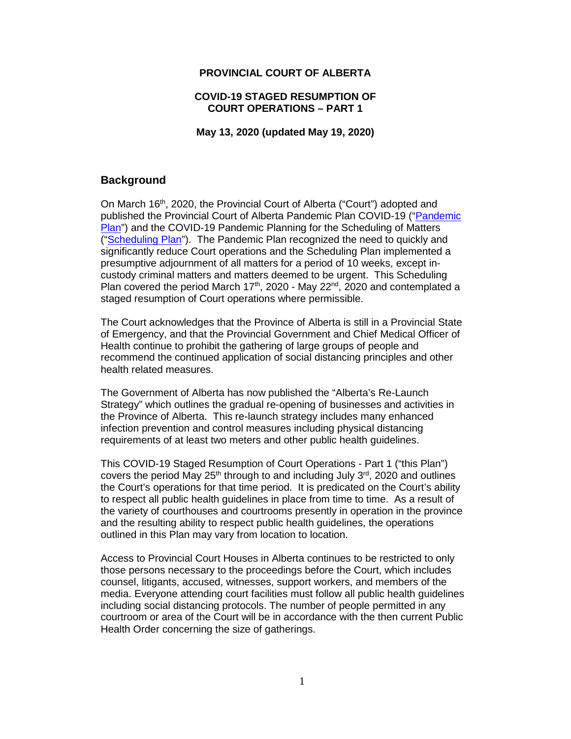#### **PROVINCIAL COURT OF ALBERTA**

#### **COVID-19 STAGED RESUMPTION OF COURT OPERATIONS – PART 1**

**May 13, 2020 (updated May 19, 2020)**

### **Background**

On March 16<sup>th</sup>, 2020, the Provincial Court of Alberta ("Court") adopted and published the Provincial Court of Alberta Pandemic Plan COVID-19 (["Pandemic](https://albertacourts.ca/docs/default-source/pc/prov-court-pandemic-plan-covid19.pdf?sfvrsn=3d378180_6)  [Plan"](https://albertacourts.ca/docs/default-source/pc/prov-court-pandemic-plan-covid19.pdf?sfvrsn=3d378180_6)) and the COVID-19 Pandemic Planning for the Scheduling of Matters (["Scheduling Plan"](https://albertacourts.ca/pc/resources/announcements/covid-19-pandemic-planning-for-the-scheduling-of-matters)). The Pandemic Plan recognized the need to quickly and significantly reduce Court operations and the Scheduling Plan implemented a presumptive adjournment of all matters for a period of 10 weeks, except incustody criminal matters and matters deemed to be urgent. This Scheduling Plan covered the period March 17<sup>th</sup>, 2020 - May 22<sup>nd</sup>, 2020 and contemplated a staged resumption of Court operations where permissible.

The Court acknowledges that the Province of Alberta is still in a Provincial State of Emergency, and that the Provincial Government and Chief Medical Officer of Health continue to prohibit the gathering of large groups of people and recommend the continued application of social distancing principles and other health related measures.

The Government of Alberta has now published the "Alberta's Re-Launch Strategy" which outlines the gradual re-opening of businesses and activities in the Province of Alberta. This re-launch strategy includes many enhanced infection prevention and control measures including physical distancing requirements of at least two meters and other public health guidelines.

This COVID-19 Staged Resumption of Court Operations - Part 1 ("this Plan") covers the period May 25<sup>th</sup> through to and including July  $3<sup>rd</sup>$ , 2020 and outlines the Court's operations for that time period. It is predicated on the Court's ability to respect all public health guidelines in place from time to time. As a result of the variety of courthouses and courtrooms presently in operation in the province and the resulting ability to respect public health guidelines, the operations outlined in this Plan may vary from location to location.

Access to Provincial Court Houses in Alberta continues to be restricted to only those persons necessary to the proceedings before the Court, which includes counsel, litigants, accused, witnesses, support workers, and members of the media. Everyone attending court facilities must follow all public health guidelines including social distancing protocols. The number of people permitted in any courtroom or area of the Court will be in accordance with the then current Public Health Order concerning the size of gatherings.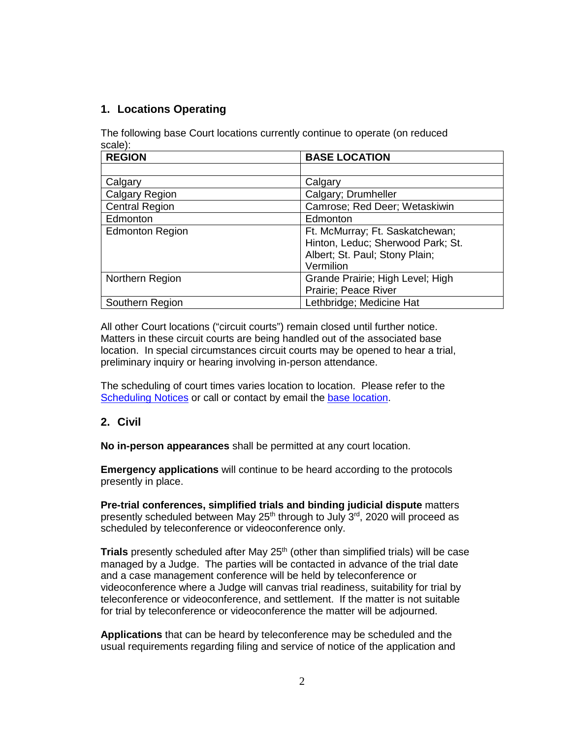# **1. Locations Operating**

The following base Court locations currently continue to operate (on reduced scale):

| <b>REGION</b>          | <b>BASE LOCATION</b>              |
|------------------------|-----------------------------------|
|                        |                                   |
| Calgary                | Calgary                           |
| <b>Calgary Region</b>  | Calgary; Drumheller               |
| <b>Central Region</b>  | Camrose; Red Deer; Wetaskiwin     |
| Edmonton               | Edmonton                          |
| <b>Edmonton Region</b> | Ft. McMurray; Ft. Saskatchewan;   |
|                        | Hinton, Leduc; Sherwood Park; St. |
|                        | Albert; St. Paul; Stony Plain;    |
|                        | Vermilion                         |
| Northern Region        | Grande Prairie; High Level; High  |
|                        | Prairie; Peace River              |
| Southern Region        | Lethbridge; Medicine Hat          |

All other Court locations ("circuit courts") remain closed until further notice. Matters in these circuit courts are being handled out of the associated base location. In special circumstances circuit courts may be opened to hear a trial, preliminary inquiry or hearing involving in-person attendance.

The scheduling of court times varies location to location. Please refer to the [Scheduling Notices](https://albertacourts.ca/pc/resources/covid/covid-19-locations-and-scheduling) or call or contact by email the [base location.](https://albertacourts.ca/pc/court-practice-and-schedules/Contact)

## **2. Civil**

**No in-person appearances** shall be permitted at any court location.

**Emergency applications** will continue to be heard according to the protocols presently in place.

**Pre-trial conferences, simplified trials and binding judicial dispute** matters presently scheduled between May  $25<sup>th</sup>$  through to July  $3<sup>rd</sup>$ , 2020 will proceed as scheduled by teleconference or videoconference only.

**Trials** presently scheduled after May 25<sup>th</sup> (other than simplified trials) will be case managed by a Judge. The parties will be contacted in advance of the trial date and a case management conference will be held by teleconference or videoconference where a Judge will canvas trial readiness, suitability for trial by teleconference or videoconference, and settlement. If the matter is not suitable for trial by teleconference or videoconference the matter will be adjourned.

**Applications** that can be heard by teleconference may be scheduled and the usual requirements regarding filing and service of notice of the application and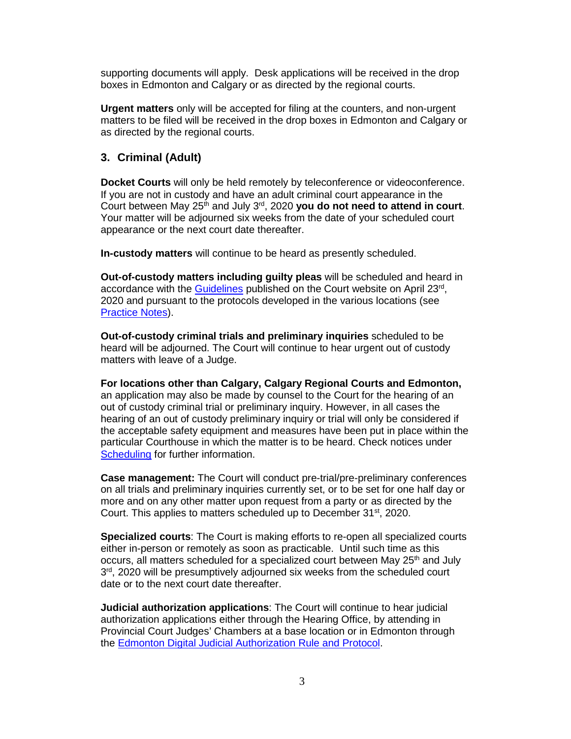supporting documents will apply. Desk applications will be received in the drop boxes in Edmonton and Calgary or as directed by the regional courts.

**Urgent matters** only will be accepted for filing at the counters, and non-urgent matters to be filed will be received in the drop boxes in Edmonton and Calgary or as directed by the regional courts.

#### **3. Criminal (Adult)**

**Docket Courts** will only be held remotely by teleconference or videoconference. If you are not in custody and have an adult criminal court appearance in the Court between May  $25<sup>th</sup>$  and July  $3<sup>rd</sup>$ , 2020 **you do not need to attend in court**. Your matter will be adjourned six weeks from the date of your scheduled court appearance or the next court date thereafter.

**In-custody matters** will continue to be heard as presently scheduled.

**Out-of-custody matters including guilty pleas** will be scheduled and heard in accordance with the [Guidelines](https://albertacourts.ca/docs/default-source/pc/remote-out-of-custody-applications-including-guilty-plea.pdf?sfvrsn=8c039d80_2) published on the Court website on April 23rd, 2020 and pursuant to the protocols developed in the various locations (see [Practice Notes\)](https://albertacourts.ca/pc/resources/covid/covid-19-criminal-and-youth-criminal-matters).

**Out-of-custody criminal trials and preliminary inquiries** scheduled to be heard will be adjourned. The Court will continue to hear urgent out of custody matters with leave of a Judge.

**For locations other than Calgary, Calgary Regional Courts and Edmonton,**  an application may also be made by counsel to the Court for the hearing of an out of custody criminal trial or preliminary inquiry. However, in all cases the hearing of an out of custody preliminary inquiry or trial will only be considered if the acceptable safety equipment and measures have been put in place within the particular Courthouse in which the matter is to be heard. Check notices under [Scheduling](https://albertacourts.ca/pc/resources/covid/covid-19-locations-and-scheduling) for further information.

**Case management:** The Court will conduct pre-trial/pre-preliminary conferences on all trials and preliminary inquiries currently set, or to be set for one half day or more and on any other matter upon request from a party or as directed by the Court. This applies to matters scheduled up to December 31<sup>st</sup>, 2020.

**Specialized courts**: The Court is making efforts to re-open all specialized courts either in-person or remotely as soon as practicable. Until such time as this occurs, all matters scheduled for a specialized court between May 25<sup>th</sup> and July  $3<sup>rd</sup>$ , 2020 will be presumptively adjourned six weeks from the scheduled court date or to the next court date thereafter.

**Judicial authorization applications**: The Court will continue to hear judicial authorization applications either through the Hearing Office, by attending in Provincial Court Judges' Chambers at a base location or in Edmonton through the [Edmonton Digital Judicial Authorization Rule and Protocol.](https://albertacourts.ca/docs/default-source/pc/edmonton-digital-judicial-authorization-rule-and-protocol.pdf?sfvrsn=89ff9d80_2)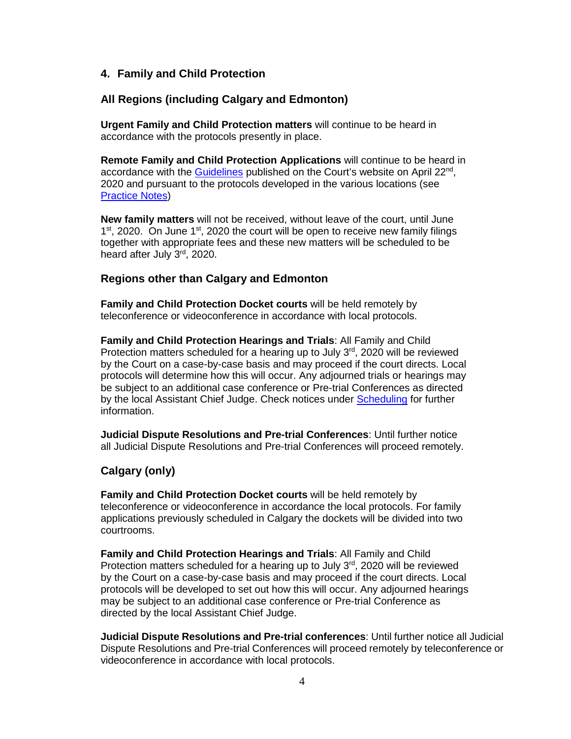#### **4. Family and Child Protection**

#### **All Regions (including Calgary and Edmonton)**

**Urgent Family and Child Protection matters** will continue to be heard in accordance with the protocols presently in place.

**Remote Family and Child Protection Applications** will continue to be heard in accordance with the [Guidelines](https://albertacourts.ca/docs/default-source/pc/remote-applications-guidelines-family-and-child-protection.pdf?sfvrsn=53159d80_2) published on the Court's website on April 22<sup>nd</sup>, 2020 and pursuant to the protocols developed in the various locations (see [Practice Notes\)](https://albertacourts.ca/pc/resources/covid/covid-19-family-and-child-protection)

**New family matters** will not be received, without leave of the court, until June  $1<sup>st</sup>$ , 2020. On June  $1<sup>st</sup>$ , 2020 the court will be open to receive new family filings together with appropriate fees and these new matters will be scheduled to be heard after July 3rd, 2020.

#### **Regions other than Calgary and Edmonton**

**Family and Child Protection Docket courts** will be held remotely by teleconference or videoconference in accordance with local protocols.

**Family and Child Protection Hearings and Trials**: All Family and Child Protection matters scheduled for a hearing up to July  $3<sup>rd</sup>$ , 2020 will be reviewed by the Court on a case-by-case basis and may proceed if the court directs. Local protocols will determine how this will occur. Any adjourned trials or hearings may be subject to an additional case conference or Pre-trial Conferences as directed by the local Assistant Chief Judge. Check notices under [Scheduling](https://albertacourts.ca/pc/resources/covid/covid-19-locations-and-scheduling) for further information.

**Judicial Dispute Resolutions and Pre-trial Conferences**: Until further notice all Judicial Dispute Resolutions and Pre-trial Conferences will proceed remotely.

#### **Calgary (only)**

**Family and Child Protection Docket courts** will be held remotely by teleconference or videoconference in accordance the local protocols. For family applications previously scheduled in Calgary the dockets will be divided into two courtrooms.

**Family and Child Protection Hearings and Trials**: All Family and Child Protection matters scheduled for a hearing up to July  $3<sup>rd</sup>$ , 2020 will be reviewed by the Court on a case-by-case basis and may proceed if the court directs. Local protocols will be developed to set out how this will occur. Any adjourned hearings may be subject to an additional case conference or Pre-trial Conference as directed by the local Assistant Chief Judge.

**Judicial Dispute Resolutions and Pre-trial conferences**: Until further notice all Judicial Dispute Resolutions and Pre-trial Conferences will proceed remotely by teleconference or videoconference in accordance with local protocols.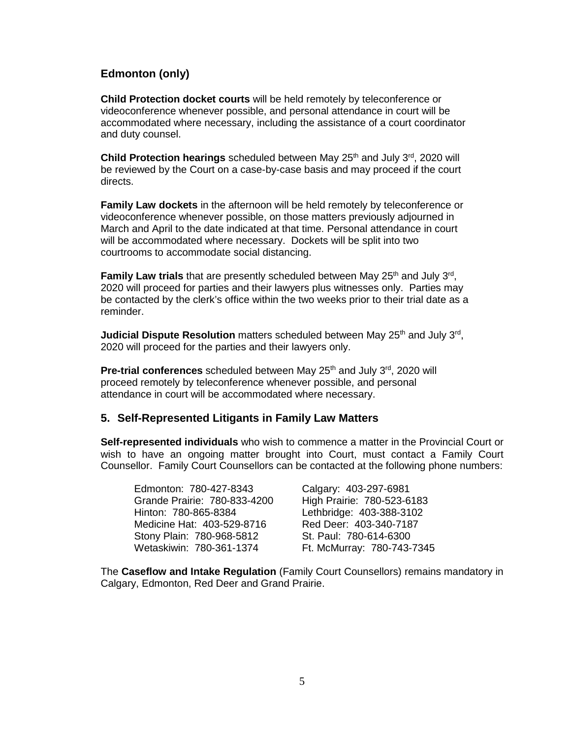# **Edmonton (only)**

**Child Protection docket courts** will be held remotely by teleconference or videoconference whenever possible, and personal attendance in court will be accommodated where necessary, including the assistance of a court coordinator and duty counsel.

**Child Protection hearings** scheduled between May 25<sup>th</sup> and July 3<sup>rd</sup>, 2020 will be reviewed by the Court on a case-by-case basis and may proceed if the court directs.

**Family Law dockets** in the afternoon will be held remotely by teleconference or videoconference whenever possible, on those matters previously adjourned in March and April to the date indicated at that time. Personal attendance in court will be accommodated where necessary. Dockets will be split into two courtrooms to accommodate social distancing.

**Family Law trials** that are presently scheduled between May 25<sup>th</sup> and July 3<sup>rd</sup>, 2020 will proceed for parties and their lawyers plus witnesses only. Parties may be contacted by the clerk's office within the two weeks prior to their trial date as a reminder.

**Judicial Dispute Resolution** matters scheduled between May 25<sup>th</sup> and July 3<sup>rd</sup>, 2020 will proceed for the parties and their lawyers only.

**Pre-trial conferences** scheduled between May 25<sup>th</sup> and July 3<sup>rd</sup>, 2020 will proceed remotely by teleconference whenever possible, and personal attendance in court will be accommodated where necessary.

## **5. Self-Represented Litigants in Family Law Matters**

**Self-represented individuals** who wish to commence a matter in the Provincial Court or wish to have an ongoing matter brought into Court, must contact a Family Court Counsellor. Family Court Counsellors can be contacted at the following phone numbers:

| Edmonton: 780-427-8343       | Calgary: 403-297-6981      |
|------------------------------|----------------------------|
| Grande Prairie: 780-833-4200 | High Prairie: 780-523-6183 |
| Hinton: 780-865-8384         | Lethbridge: 403-388-3102   |
| Medicine Hat: 403-529-8716   | Red Deer: 403-340-7187     |
| Stony Plain: 780-968-5812    | St. Paul: 780-614-6300     |
| Wetaskiwin: 780-361-1374     | Ft. McMurray: 780-743-7345 |

The **Caseflow and Intake Regulation** (Family Court Counsellors) remains mandatory in Calgary, Edmonton, Red Deer and Grand Prairie.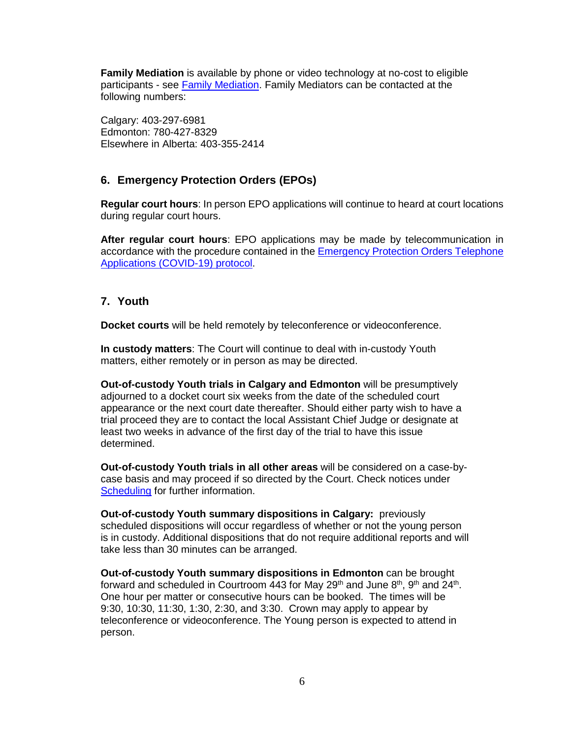**Family Mediation** is available by phone or video technology at no-cost to eligible participants - see [Family Mediation.](https://www.alberta.ca/family-mediation.aspx) Family Mediators can be contacted at the following numbers:

Calgary: 403-297-6981 Edmonton: 780-427-8329 Elsewhere in Alberta: 403-355-2414

# **6. Emergency Protection Orders (EPOs)**

**Regular court hours**: In person EPO applications will continue to heard at court locations during regular court hours.

**After regular court hours**: EPO applications may be made by telecommunication in accordance with the procedure contained in the [Emergency Protection Orders Telephone](https://albertacourts.ca/docs/default-source/pc/telephone-applications-for-emergency-protenction-orders-(covid-19).pdf?sfvrsn=2b49d80_4)  [Applications \(COVID-19\) protocol.](https://albertacourts.ca/docs/default-source/pc/telephone-applications-for-emergency-protenction-orders-(covid-19).pdf?sfvrsn=2b49d80_4)

# **7. Youth**

**Docket courts** will be held remotely by teleconference or videoconference.

**In custody matters**: The Court will continue to deal with in-custody Youth matters, either remotely or in person as may be directed.

**Out-of-custody Youth trials in Calgary and Edmonton** will be presumptively adjourned to a docket court six weeks from the date of the scheduled court appearance or the next court date thereafter. Should either party wish to have a trial proceed they are to contact the local Assistant Chief Judge or designate at least two weeks in advance of the first day of the trial to have this issue determined.

**Out-of-custody Youth trials in all other areas** will be considered on a case-bycase basis and may proceed if so directed by the Court. Check notices under [Scheduling](https://albertacourts.ca/pc/resources/covid/covid-19-locations-and-scheduling) for further information.

**Out-of-custody Youth summary dispositions in Calgary:** previously scheduled dispositions will occur regardless of whether or not the young person is in custody. Additional dispositions that do not require additional reports and will take less than 30 minutes can be arranged.

**Out-of-custody Youth summary dispositions in Edmonton** can be brought forward and scheduled in Courtroom 443 for May  $29<sup>th</sup>$  and June  $8<sup>th</sup>$ ,  $9<sup>th</sup>$  and  $24<sup>th</sup>$ . One hour per matter or consecutive hours can be booked. The times will be 9:30, 10:30, 11:30, 1:30, 2:30, and 3:30. Crown may apply to appear by teleconference or videoconference. The Young person is expected to attend in person.